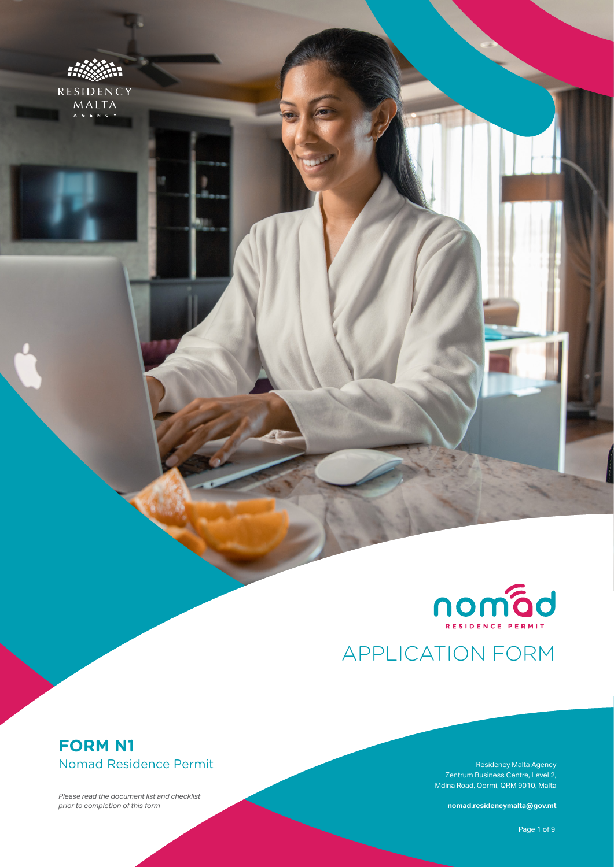

MALTA



# APPLICATION FORM

## **FORM N1** Nomad Residence Permit

*Please read the document list and checklist prior to completion of this form*

Residency Malta Agency Zentrum Business Centre, Level 2, Mdina Road, Qormi, QRM 9010, Malta

**nomad.residencymalta@gov.mt**

Page 1 of 9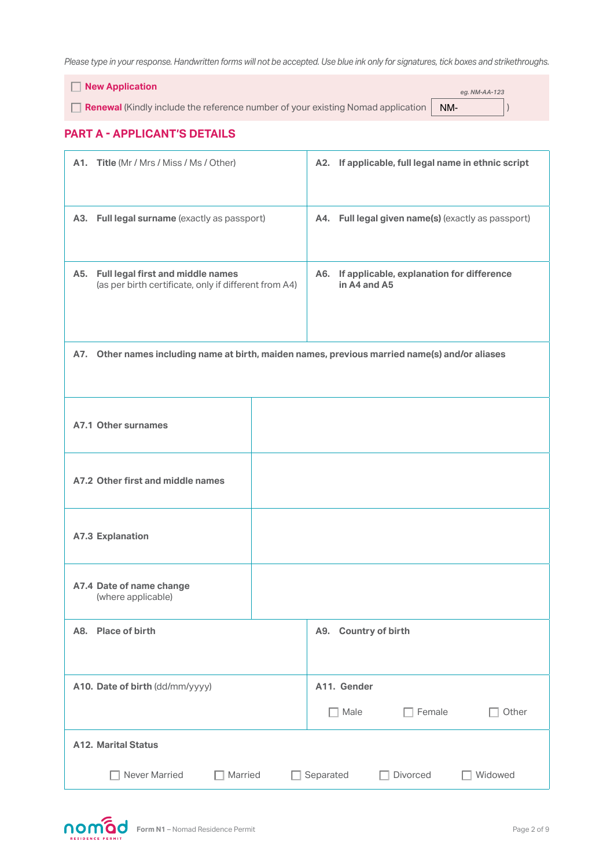*Please type in your response. Handwritten forms will not be accepted. Use blue ink only for signatures, tick boxes and strikethroughs.*

 **New Application**

**Renewal** (Kindly include the reference number of your existing Nomad application | NM- | | |

*eg. NM-AA-123*

#### **PART A - APPLICANT'S DETAILS**

| A1. Title (Mr / Mrs / Miss / Ms / Other)                                                       | A2. If applicable, full legal name in ethnic script                                        |
|------------------------------------------------------------------------------------------------|--------------------------------------------------------------------------------------------|
| A3. Full legal surname (exactly as passport)                                                   | A4. Full legal given name(s) (exactly as passport)                                         |
| A5. Full legal first and middle names<br>(as per birth certificate, only if different from A4) | If applicable, explanation for difference<br>A6.<br>in A4 and A5                           |
| A7.                                                                                            | Other names including name at birth, maiden names, previous married name(s) and/or aliases |
| A7.1 Other surnames                                                                            |                                                                                            |
| A7.2 Other first and middle names                                                              |                                                                                            |
| <b>A7.3 Explanation</b>                                                                        |                                                                                            |
| A7.4 Date of name change<br>(where applicable)                                                 |                                                                                            |
| A8. Place of birth                                                                             | <b>Country of birth</b><br>A9.                                                             |
| A10. Date of birth (dd/mm/yyyy)                                                                | A11. Gender<br>Female<br>Male<br>Other                                                     |
| <b>A12. Marital Status</b>                                                                     |                                                                                            |
| Never Married<br>Married                                                                       | Separated<br>Widowed<br>Divorced                                                           |

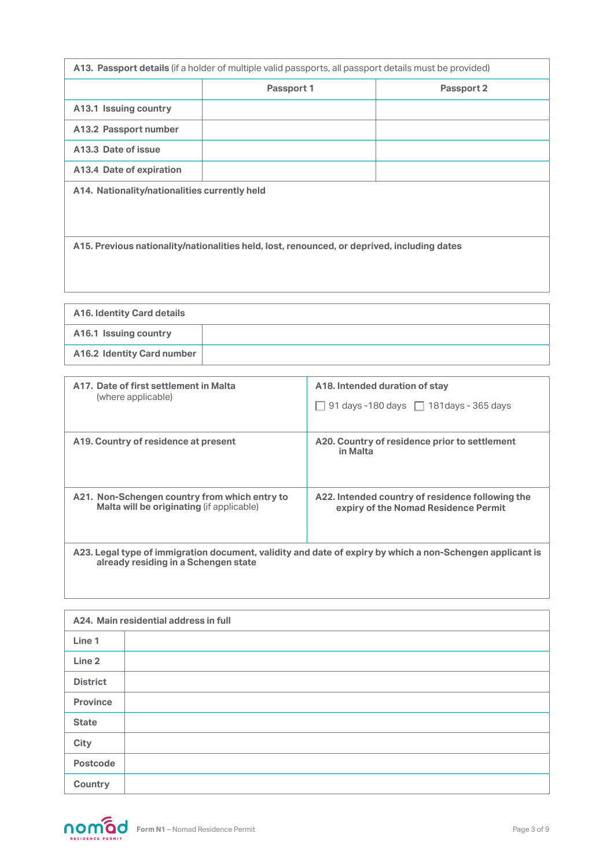| A13. Passport details (if a holder of multiple valid passports, all passport details must be provided) |            |            |
|--------------------------------------------------------------------------------------------------------|------------|------------|
|                                                                                                        | Passport 1 | Passport 2 |
| A13.1 Issuing country                                                                                  |            |            |
| A13.2 Passport number                                                                                  |            |            |
| A13.3 Date of issue                                                                                    |            |            |
| A13.4 Date of expiration                                                                               |            |            |
| A14. Nationality/nationalities currently held                                                          |            |            |
| A15. Previous nationality/nationalities held, lost, renounced, or deprived, including dates            |            |            |

| <b>A16. Identity Card details</b> |  |
|-----------------------------------|--|
| A16.1 Issuing country             |  |
| A16.2 Identity Card number        |  |

| A17. Date of first settlement in Malta        | A18. Intended duration of stay                                                                            |
|-----------------------------------------------|-----------------------------------------------------------------------------------------------------------|
| (where applicable)                            | 91 days -180 days $\Box$ 181 days - 365 days                                                              |
| A19. Country of residence at present          | A20. Country of residence prior to settlement<br>in Malta                                                 |
| A21. Non-Schengen country from which entry to | A22. Intended country of residence following the                                                          |
| Malta will be originating (if applicable)     | expiry of the Nomad Residence Permit                                                                      |
| already residing in a Schengen state          | A23. Legal type of immigration document, validity and date of expiry by which a non-Schengen applicant is |

| A24. Main residential address in full |  |  |
|---------------------------------------|--|--|
| Line 1                                |  |  |
| Line <sub>2</sub>                     |  |  |
| <b>District</b>                       |  |  |
| <b>Province</b>                       |  |  |
| <b>State</b>                          |  |  |
| City                                  |  |  |
| <b>Postcode</b>                       |  |  |
| Country                               |  |  |

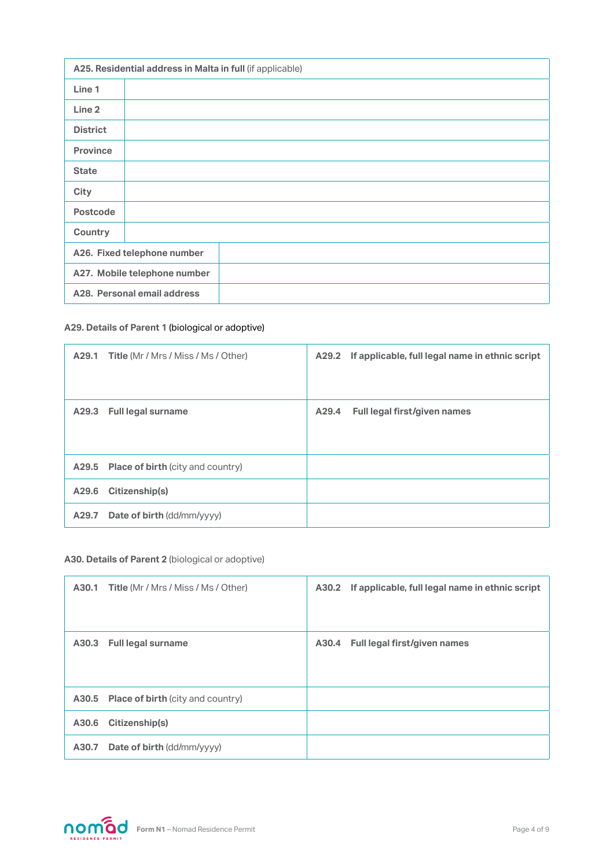| A25. Residential address in Malta in full (if applicable) |                             |  |
|-----------------------------------------------------------|-----------------------------|--|
| Line 1                                                    |                             |  |
| Line <sub>2</sub>                                         |                             |  |
| <b>District</b>                                           |                             |  |
| <b>Province</b>                                           |                             |  |
| <b>State</b>                                              |                             |  |
| <b>City</b>                                               |                             |  |
| <b>Postcode</b>                                           |                             |  |
| Country                                                   |                             |  |
|                                                           | A26. Fixed telephone number |  |
| A27. Mobile telephone number                              |                             |  |
| A28. Personal email address                               |                             |  |

#### **A29. Details of Parent 1** (biological or adoptive)

| <b>A29.1 Title (Mr / Mrs / Miss / Ms / Other)</b> |       | A29.2 If applicable, full legal name in ethnic script |
|---------------------------------------------------|-------|-------------------------------------------------------|
| <b>Full legal surname</b><br>A29.3                | A29.4 | Full legal first/given names                          |
| <b>A29.5</b> Place of birth (city and country)    |       |                                                       |
| Citizenship(s)<br>A29.6                           |       |                                                       |
| <b>Date of birth (dd/mm/yyyy)</b><br>A29.7        |       |                                                       |

#### **A30. Details of Parent 2** (biological or adoptive)

|       | <b>A30.1 Title (Mr / Mrs / Miss / Ms / Other)</b> | A30.2 If applicable, full legal name in ethnic script |
|-------|---------------------------------------------------|-------------------------------------------------------|
|       | A30.3 Full legal surname                          | A30.4 Full legal first/given names                    |
|       | <b>A30.5</b> Place of birth (city and country)    |                                                       |
|       | A30.6 Citizenship(s)                              |                                                       |
| A30.7 | <b>Date of birth (dd/mm/yyyy)</b>                 |                                                       |

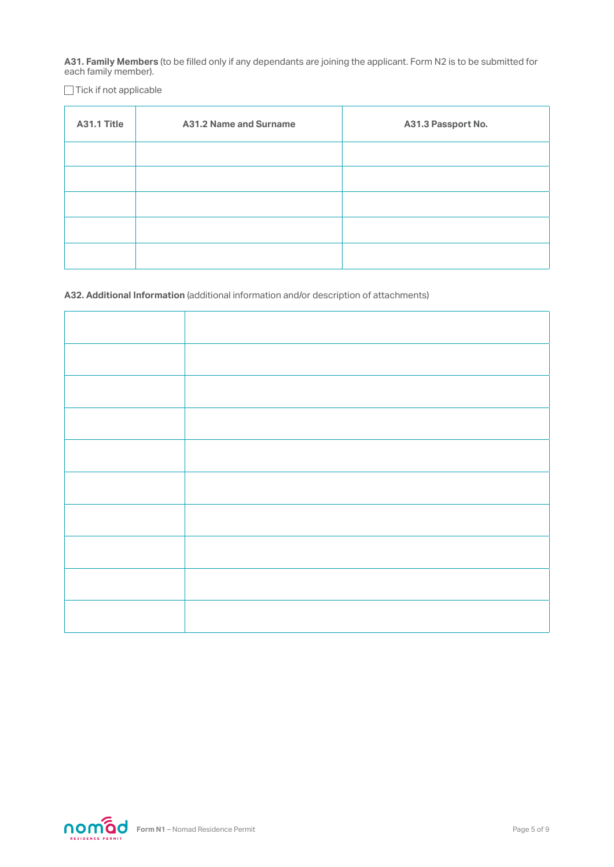**A31. Family Members** (to be filled only if any dependants are joining the applicant. Form N2 is to be submitted for each family member).

 $\Box$  Tick if not applicable

| A31.1 Title | <b>A31.2 Name and Surname</b> | A31.3 Passport No. |
|-------------|-------------------------------|--------------------|
|             |                               |                    |
|             |                               |                    |
|             |                               |                    |
|             |                               |                    |
|             |                               |                    |

**A32. Additional Information** (additional information and/or description of attachments)

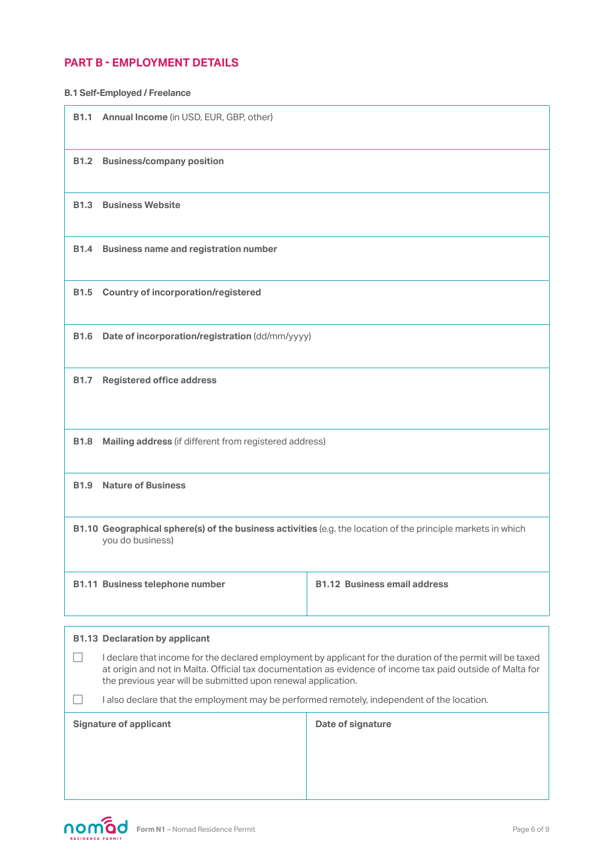#### **PART B - EMPLOYMENT DETAILS**

**B1.1 Annual Income** (in USD, EUR, GBP, other) **B1.2 Business/company position B1.3 Business Website B1.4 Business name and registration number B1.5 Country of incorporation/registered B1.6** Date of incorporation/registration (dd/mm/yyyy) **B1.7 Registered office address B1.8 Mailing address** (if different from registered address) **B1.9 Nature of Business B1.10 Geographical sphere(s) of the business activities (e.g. the location of the principle markets in which** you do business) **B1.11 Business telephone number B1.12 Business email address B1.13 Declaration by applicant** I declare that income for the declared employment by applicant for the duration of the permit will be taxed at origin and not in Malta. Official tax documentation as evidence of income tax paid outside of Malta for the previous year will be submitted upon renewal application.  $\Box$  I also declare that the employment may be performed remotely, independent of the location. **Signature of applicant Date of signature B.1 Self-Employed / Freelance**

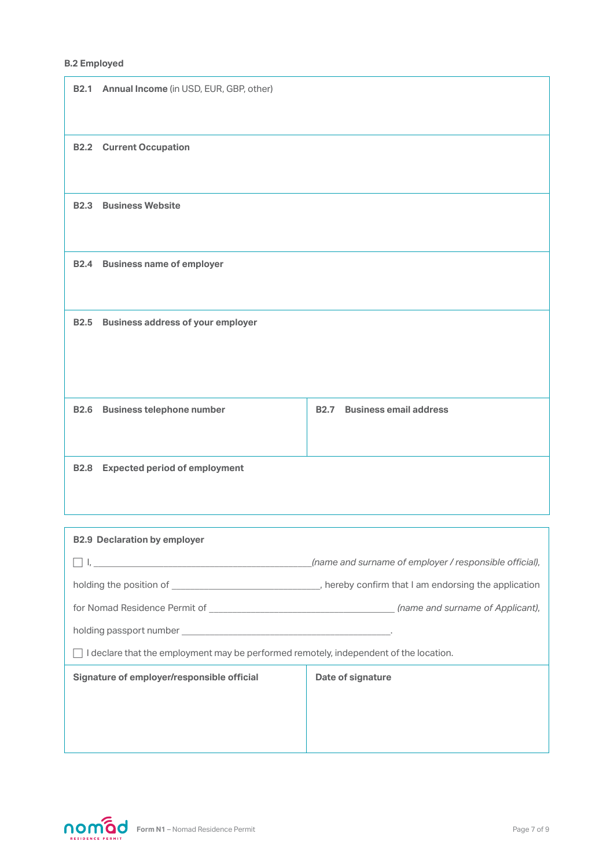#### **B.2 Employed**

| <b>B2.1</b> | Annual Income (in USD, EUR, GBP, other)  |             |                               |
|-------------|------------------------------------------|-------------|-------------------------------|
| <b>B2.2</b> | <b>Current Occupation</b>                |             |                               |
| <b>B2.3</b> | <b>Business Website</b>                  |             |                               |
| <b>B2.4</b> | <b>Business name of employer</b>         |             |                               |
| <b>B2.5</b> | <b>Business address of your employer</b> |             |                               |
| <b>B2.6</b> | <b>Business telephone number</b>         | <b>B2.7</b> | <b>Business email address</b> |
| <b>B2.8</b> | <b>Expected period of employment</b>     |             |                               |

| <b>B2.9 Declaration by employer</b>                                                                                                                                                                                                |                                                        |
|------------------------------------------------------------------------------------------------------------------------------------------------------------------------------------------------------------------------------------|--------------------------------------------------------|
| $\mathbf{I}_i$ . The contract of the contract of the contract of the contract of the contract of the contract of the contract of the contract of the contract of the contract of the contract of the contract of the contract of t | (name and surname of employer / responsible official). |
|                                                                                                                                                                                                                                    |                                                        |
|                                                                                                                                                                                                                                    |                                                        |
|                                                                                                                                                                                                                                    |                                                        |
| $\Box$ I declare that the employment may be performed remotely, independent of the location.                                                                                                                                       |                                                        |
| Signature of employer/responsible official                                                                                                                                                                                         | Date of signature                                      |
|                                                                                                                                                                                                                                    |                                                        |
|                                                                                                                                                                                                                                    |                                                        |
|                                                                                                                                                                                                                                    |                                                        |

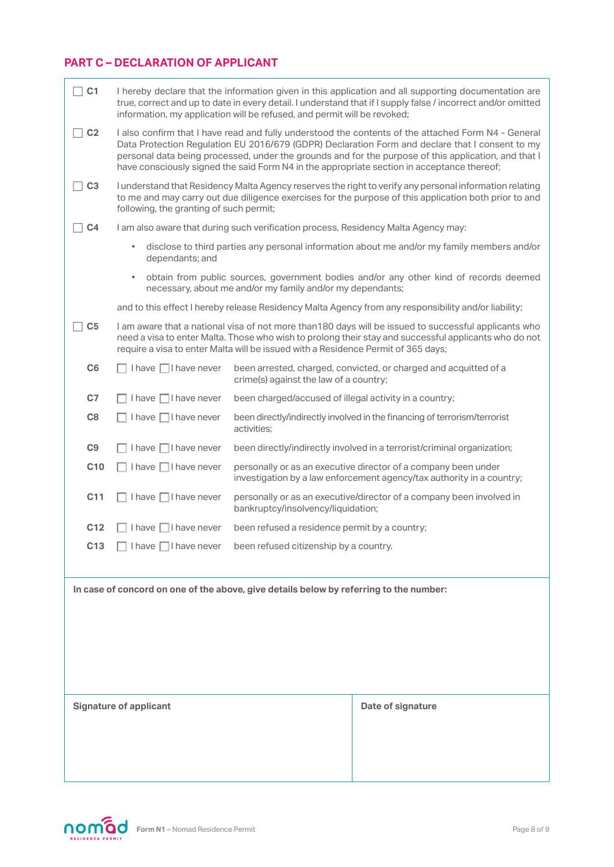### **PART C – DECLARATION OF APPLICANT**

| C <sub>1</sub>                |                                                                                        | I hereby declare that the information given in this application and all supporting documentation are<br>true, correct and up to date in every detail. I understand that if I supply false / incorrect and/or omitted<br>information, my application will be refused, and permit will be revoked;                                                                                                             |                                                                                                      |  |  |
|-------------------------------|----------------------------------------------------------------------------------------|--------------------------------------------------------------------------------------------------------------------------------------------------------------------------------------------------------------------------------------------------------------------------------------------------------------------------------------------------------------------------------------------------------------|------------------------------------------------------------------------------------------------------|--|--|
| C <sub>2</sub>                |                                                                                        | I also confirm that I have read and fully understood the contents of the attached Form N4 - General<br>Data Protection Regulation EU 2016/679 (GDPR) Declaration Form and declare that I consent to my<br>personal data being processed, under the grounds and for the purpose of this application, and that I<br>have consciously signed the said Form N4 in the appropriate section in acceptance thereof; |                                                                                                      |  |  |
| C <sub>3</sub>                |                                                                                        | I understand that Residency Malta Agency reserves the right to verify any personal information relating<br>to me and may carry out due diligence exercises for the purpose of this application both prior to and<br>following, the granting of such permit;                                                                                                                                                  |                                                                                                      |  |  |
| C <sub>4</sub>                |                                                                                        | I am also aware that during such verification process, Residency Malta Agency may:                                                                                                                                                                                                                                                                                                                           |                                                                                                      |  |  |
|                               | $\bullet$<br>dependants; and                                                           | disclose to third parties any personal information about me and/or my family members and/or                                                                                                                                                                                                                                                                                                                  |                                                                                                      |  |  |
|                               | $\bullet$                                                                              | obtain from public sources, government bodies and/or any other kind of records deemed<br>necessary, about me and/or my family and/or my dependants;                                                                                                                                                                                                                                                          |                                                                                                      |  |  |
|                               |                                                                                        |                                                                                                                                                                                                                                                                                                                                                                                                              | and to this effect I hereby release Residency Malta Agency from any responsibility and/or liability; |  |  |
| C <sub>5</sub>                |                                                                                        | I am aware that a national visa of not more than180 days will be issued to successful applicants who<br>need a visa to enter Malta. Those who wish to prolong their stay and successful applicants who do not<br>require a visa to enter Malta will be issued with a Residence Permit of 365 days;                                                                                                           |                                                                                                      |  |  |
| C <sub>6</sub>                | $\Box$ I have $\Box$ I have never                                                      | crime(s) against the law of a country;                                                                                                                                                                                                                                                                                                                                                                       | been arrested, charged, convicted, or charged and acquitted of a                                     |  |  |
| C <sub>7</sub>                | $I$ have $\Box I$ have never                                                           | been charged/accused of illegal activity in a country;                                                                                                                                                                                                                                                                                                                                                       |                                                                                                      |  |  |
| C8                            | I have $\Box$ I have never                                                             | been directly/indirectly involved in the financing of terrorism/terrorist<br>activities;                                                                                                                                                                                                                                                                                                                     |                                                                                                      |  |  |
| C9                            | $I$ have $\Box I$ have never                                                           | been directly/indirectly involved in a terrorist/criminal organization;                                                                                                                                                                                                                                                                                                                                      |                                                                                                      |  |  |
| C <sub>10</sub>               | $I$ have $\Box I$ have never                                                           | personally or as an executive director of a company been under<br>investigation by a law enforcement agency/tax authority in a country;                                                                                                                                                                                                                                                                      |                                                                                                      |  |  |
| C <sub>11</sub>               | I have $\Box$ I have never                                                             | personally or as an executive/director of a company been involved in<br>bankruptcy/insolvency/liquidation;                                                                                                                                                                                                                                                                                                   |                                                                                                      |  |  |
| C <sub>12</sub>               | I have I I have never                                                                  | been refused a residence permit by a country;                                                                                                                                                                                                                                                                                                                                                                |                                                                                                      |  |  |
| C <sub>13</sub>               |                                                                                        | I have $\Box$ I have never been refused citizenship by a country.                                                                                                                                                                                                                                                                                                                                            |                                                                                                      |  |  |
|                               |                                                                                        |                                                                                                                                                                                                                                                                                                                                                                                                              |                                                                                                      |  |  |
|                               | In case of concord on one of the above, give details below by referring to the number: |                                                                                                                                                                                                                                                                                                                                                                                                              |                                                                                                      |  |  |
|                               |                                                                                        |                                                                                                                                                                                                                                                                                                                                                                                                              |                                                                                                      |  |  |
|                               |                                                                                        |                                                                                                                                                                                                                                                                                                                                                                                                              |                                                                                                      |  |  |
|                               |                                                                                        |                                                                                                                                                                                                                                                                                                                                                                                                              |                                                                                                      |  |  |
|                               |                                                                                        |                                                                                                                                                                                                                                                                                                                                                                                                              |                                                                                                      |  |  |
|                               |                                                                                        |                                                                                                                                                                                                                                                                                                                                                                                                              |                                                                                                      |  |  |
| <b>Signature of applicant</b> |                                                                                        |                                                                                                                                                                                                                                                                                                                                                                                                              | Date of signature                                                                                    |  |  |
|                               |                                                                                        |                                                                                                                                                                                                                                                                                                                                                                                                              |                                                                                                      |  |  |
|                               |                                                                                        |                                                                                                                                                                                                                                                                                                                                                                                                              |                                                                                                      |  |  |
|                               |                                                                                        |                                                                                                                                                                                                                                                                                                                                                                                                              |                                                                                                      |  |  |
|                               |                                                                                        |                                                                                                                                                                                                                                                                                                                                                                                                              |                                                                                                      |  |  |